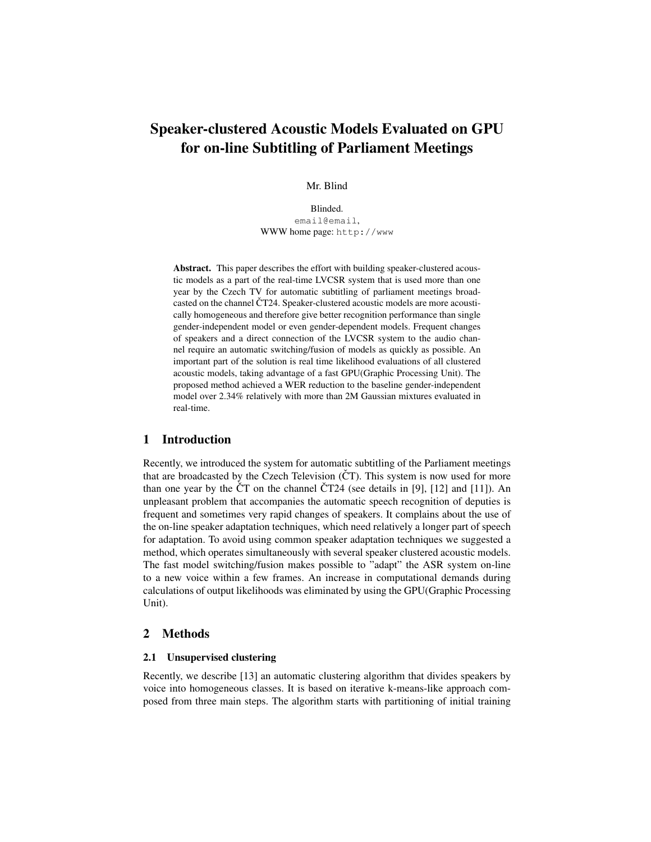# Speaker-clustered Acoustic Models Evaluated on GPU for on-line Subtitling of Parliament Meetings

Mr. Blind

Blinded. email@email, WWW home page: http://www

Abstract. This paper describes the effort with building speaker-clustered acoustic models as a part of the real-time LVCSR system that is used more than one year by the Czech TV for automatic subtitling of parliament meetings broadcasted on the channel ČT24. Speaker-clustered acoustic models are more acoustically homogeneous and therefore give better recognition performance than single gender-independent model or even gender-dependent models. Frequent changes of speakers and a direct connection of the LVCSR system to the audio channel require an automatic switching/fusion of models as quickly as possible. An important part of the solution is real time likelihood evaluations of all clustered acoustic models, taking advantage of a fast GPU(Graphic Processing Unit). The proposed method achieved a WER reduction to the baseline gender-independent model over 2.34% relatively with more than 2M Gaussian mixtures evaluated in real-time.

### 1 Introduction

Recently, we introduced the system for automatic subtitling of the Parliament meetings that are broadcasted by the Czech Television  $(CT)$ . This system is now used for more than one year by the  $\rm CT$  on the channel  $\rm CT24$  (see details in [9], [12] and [11]). An unpleasant problem that accompanies the automatic speech recognition of deputies is frequent and sometimes very rapid changes of speakers. It complains about the use of the on-line speaker adaptation techniques, which need relatively a longer part of speech for adaptation. To avoid using common speaker adaptation techniques we suggested a method, which operates simultaneously with several speaker clustered acoustic models. The fast model switching/fusion makes possible to "adapt" the ASR system on-line to a new voice within a few frames. An increase in computational demands during calculations of output likelihoods was eliminated by using the GPU(Graphic Processing Unit).

# 2 Methods

### 2.1 Unsupervised clustering

Recently, we describe [13] an automatic clustering algorithm that divides speakers by voice into homogeneous classes. It is based on iterative k-means-like approach composed from three main steps. The algorithm starts with partitioning of initial training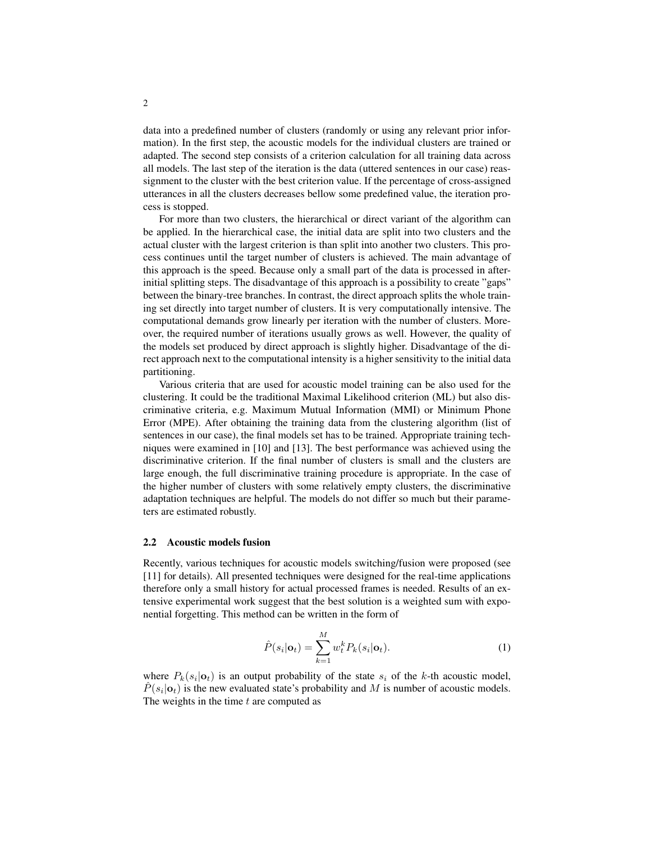data into a predefined number of clusters (randomly or using any relevant prior information). In the first step, the acoustic models for the individual clusters are trained or adapted. The second step consists of a criterion calculation for all training data across all models. The last step of the iteration is the data (uttered sentences in our case) reassignment to the cluster with the best criterion value. If the percentage of cross-assigned utterances in all the clusters decreases bellow some predefined value, the iteration process is stopped.

For more than two clusters, the hierarchical or direct variant of the algorithm can be applied. In the hierarchical case, the initial data are split into two clusters and the actual cluster with the largest criterion is than split into another two clusters. This process continues until the target number of clusters is achieved. The main advantage of this approach is the speed. Because only a small part of the data is processed in afterinitial splitting steps. The disadvantage of this approach is a possibility to create "gaps" between the binary-tree branches. In contrast, the direct approach splits the whole training set directly into target number of clusters. It is very computationally intensive. The computational demands grow linearly per iteration with the number of clusters. Moreover, the required number of iterations usually grows as well. However, the quality of the models set produced by direct approach is slightly higher. Disadvantage of the direct approach next to the computational intensity is a higher sensitivity to the initial data partitioning.

Various criteria that are used for acoustic model training can be also used for the clustering. It could be the traditional Maximal Likelihood criterion (ML) but also discriminative criteria, e.g. Maximum Mutual Information (MMI) or Minimum Phone Error (MPE). After obtaining the training data from the clustering algorithm (list of sentences in our case), the final models set has to be trained. Appropriate training techniques were examined in [10] and [13]. The best performance was achieved using the discriminative criterion. If the final number of clusters is small and the clusters are large enough, the full discriminative training procedure is appropriate. In the case of the higher number of clusters with some relatively empty clusters, the discriminative adaptation techniques are helpful. The models do not differ so much but their parameters are estimated robustly.

### 2.2 Acoustic models fusion

Recently, various techniques for acoustic models switching/fusion were proposed (see [11] for details). All presented techniques were designed for the real-time applications therefore only a small history for actual processed frames is needed. Results of an extensive experimental work suggest that the best solution is a weighted sum with exponential forgetting. This method can be written in the form of

$$
\hat{P}(s_i|\mathbf{o}_t) = \sum_{k=1}^{M} w_t^k P_k(s_i|\mathbf{o}_t).
$$
\n(1)

where  $P_k(s_i | \mathbf{o}_t)$  is an output probability of the state  $s_i$  of the k-th acoustic model,  $\hat{P}(s_i|\mathbf{o}_t)$  is the new evaluated state's probability and M is number of acoustic models. The weights in the time  $t$  are computed as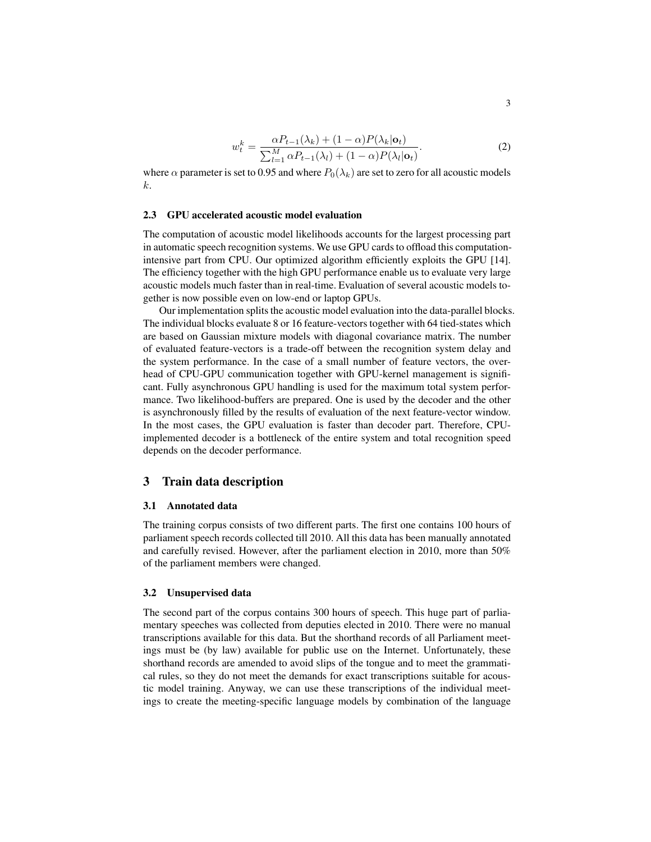$$
w_t^k = \frac{\alpha P_{t-1}(\lambda_k) + (1 - \alpha)P(\lambda_k|\mathbf{o}_t)}{\sum_{l=1}^M \alpha P_{t-1}(\lambda_l) + (1 - \alpha)P(\lambda_l|\mathbf{o}_t)}.
$$
(2)

where  $\alpha$  parameter is set to 0.95 and where  $P_0(\lambda_k)$  are set to zero for all acoustic models k.

# 2.3 GPU accelerated acoustic model evaluation

The computation of acoustic model likelihoods accounts for the largest processing part in automatic speech recognition systems. We use GPU cards to offload this computationintensive part from CPU. Our optimized algorithm efficiently exploits the GPU [14]. The efficiency together with the high GPU performance enable us to evaluate very large acoustic models much faster than in real-time. Evaluation of several acoustic models together is now possible even on low-end or laptop GPUs.

Our implementation splits the acoustic model evaluation into the data-parallel blocks. The individual blocks evaluate 8 or 16 feature-vectors together with 64 tied-states which are based on Gaussian mixture models with diagonal covariance matrix. The number of evaluated feature-vectors is a trade-off between the recognition system delay and the system performance. In the case of a small number of feature vectors, the overhead of CPU-GPU communication together with GPU-kernel management is significant. Fully asynchronous GPU handling is used for the maximum total system performance. Two likelihood-buffers are prepared. One is used by the decoder and the other is asynchronously filled by the results of evaluation of the next feature-vector window. In the most cases, the GPU evaluation is faster than decoder part. Therefore, CPUimplemented decoder is a bottleneck of the entire system and total recognition speed depends on the decoder performance.

### 3 Train data description

### 3.1 Annotated data

The training corpus consists of two different parts. The first one contains 100 hours of parliament speech records collected till 2010. All this data has been manually annotated and carefully revised. However, after the parliament election in 2010, more than 50% of the parliament members were changed.

### 3.2 Unsupervised data

The second part of the corpus contains 300 hours of speech. This huge part of parliamentary speeches was collected from deputies elected in 2010. There were no manual transcriptions available for this data. But the shorthand records of all Parliament meetings must be (by law) available for public use on the Internet. Unfortunately, these shorthand records are amended to avoid slips of the tongue and to meet the grammatical rules, so they do not meet the demands for exact transcriptions suitable for acoustic model training. Anyway, we can use these transcriptions of the individual meetings to create the meeting-specific language models by combination of the language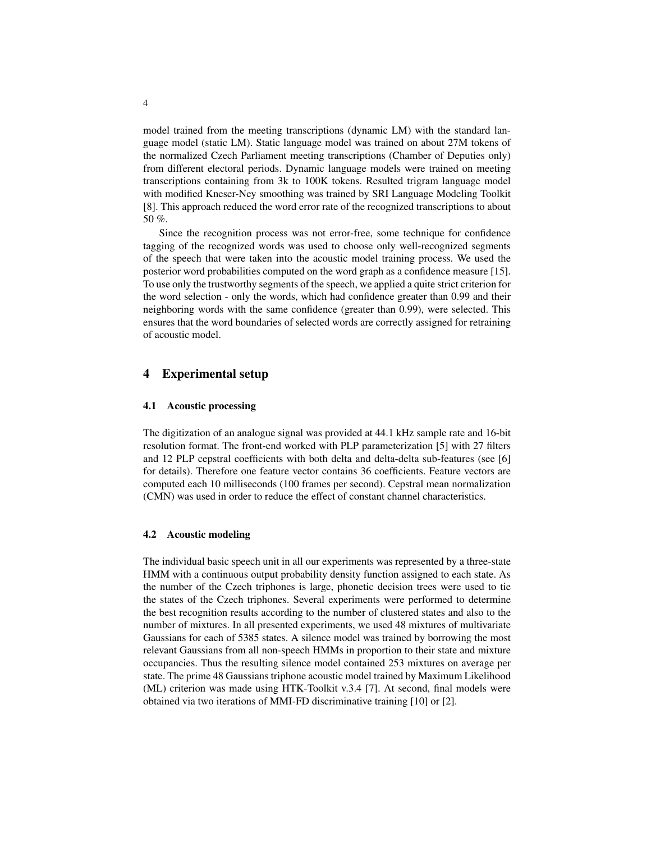model trained from the meeting transcriptions (dynamic LM) with the standard language model (static LM). Static language model was trained on about 27M tokens of the normalized Czech Parliament meeting transcriptions (Chamber of Deputies only) from different electoral periods. Dynamic language models were trained on meeting transcriptions containing from 3k to 100K tokens. Resulted trigram language model with modified Kneser-Ney smoothing was trained by SRI Language Modeling Toolkit [8]. This approach reduced the word error rate of the recognized transcriptions to about 50 %.

Since the recognition process was not error-free, some technique for confidence tagging of the recognized words was used to choose only well-recognized segments of the speech that were taken into the acoustic model training process. We used the posterior word probabilities computed on the word graph as a confidence measure [15]. To use only the trustworthy segments of the speech, we applied a quite strict criterion for the word selection - only the words, which had confidence greater than 0.99 and their neighboring words with the same confidence (greater than 0.99), were selected. This ensures that the word boundaries of selected words are correctly assigned for retraining of acoustic model.

# 4 Experimental setup

#### 4.1 Acoustic processing

The digitization of an analogue signal was provided at 44.1 kHz sample rate and 16-bit resolution format. The front-end worked with PLP parameterization [5] with 27 filters and 12 PLP cepstral coefficients with both delta and delta-delta sub-features (see [6] for details). Therefore one feature vector contains 36 coefficients. Feature vectors are computed each 10 milliseconds (100 frames per second). Cepstral mean normalization (CMN) was used in order to reduce the effect of constant channel characteristics.

### 4.2 Acoustic modeling

The individual basic speech unit in all our experiments was represented by a three-state HMM with a continuous output probability density function assigned to each state. As the number of the Czech triphones is large, phonetic decision trees were used to tie the states of the Czech triphones. Several experiments were performed to determine the best recognition results according to the number of clustered states and also to the number of mixtures. In all presented experiments, we used 48 mixtures of multivariate Gaussians for each of 5385 states. A silence model was trained by borrowing the most relevant Gaussians from all non-speech HMMs in proportion to their state and mixture occupancies. Thus the resulting silence model contained 253 mixtures on average per state. The prime 48 Gaussians triphone acoustic model trained by Maximum Likelihood (ML) criterion was made using HTK-Toolkit v.3.4 [7]. At second, final models were obtained via two iterations of MMI-FD discriminative training [10] or [2].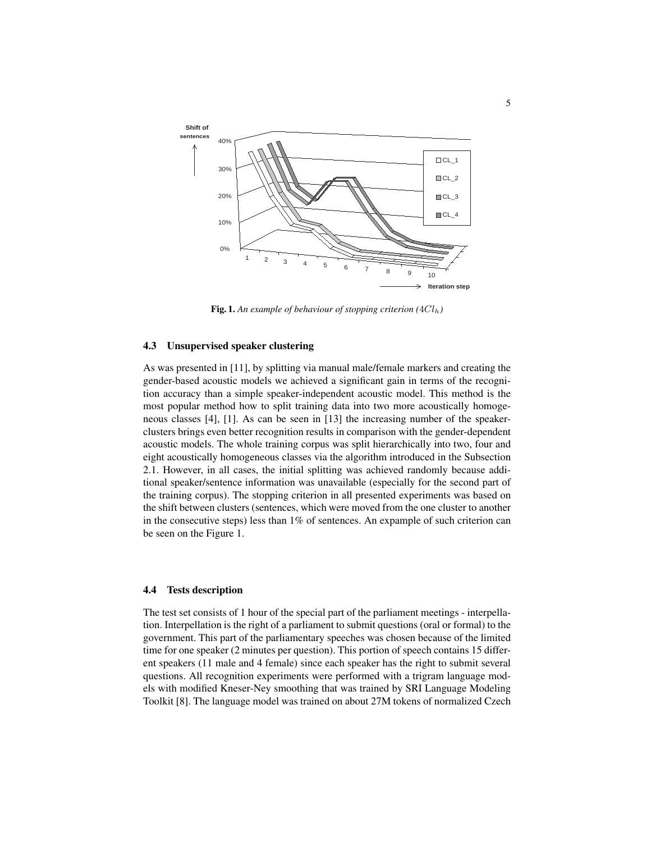

Fig. 1. *An example of behaviour of stopping criterion (*4Clh*)*

### 4.3 Unsupervised speaker clustering

As was presented in [11], by splitting via manual male/female markers and creating the gender-based acoustic models we achieved a significant gain in terms of the recognition accuracy than a simple speaker-independent acoustic model. This method is the most popular method how to split training data into two more acoustically homogeneous classes [4], [1]. As can be seen in [13] the increasing number of the speakerclusters brings even better recognition results in comparison with the gender-dependent acoustic models. The whole training corpus was split hierarchically into two, four and eight acoustically homogeneous classes via the algorithm introduced in the Subsection 2.1. However, in all cases, the initial splitting was achieved randomly because additional speaker/sentence information was unavailable (especially for the second part of the training corpus). The stopping criterion in all presented experiments was based on the shift between clusters (sentences, which were moved from the one cluster to another in the consecutive steps) less than 1% of sentences. An expample of such criterion can be seen on the Figure 1.

### 4.4 Tests description

The test set consists of 1 hour of the special part of the parliament meetings - interpellation. Interpellation is the right of a parliament to submit questions (oral or formal) to the government. This part of the parliamentary speeches was chosen because of the limited time for one speaker (2 minutes per question). This portion of speech contains 15 different speakers (11 male and 4 female) since each speaker has the right to submit several questions. All recognition experiments were performed with a trigram language models with modified Kneser-Ney smoothing that was trained by SRI Language Modeling Toolkit [8]. The language model was trained on about 27M tokens of normalized Czech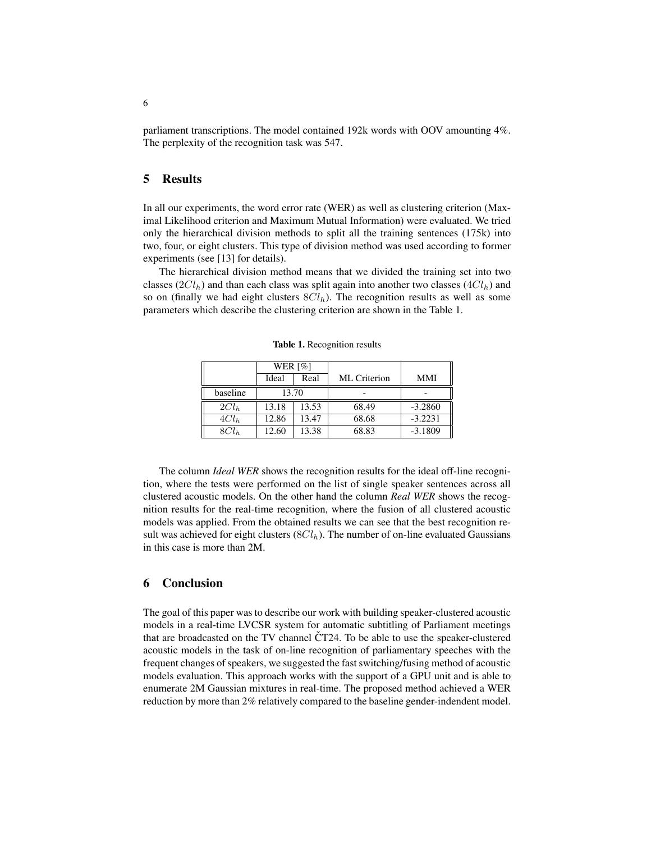parliament transcriptions. The model contained 192k words with OOV amounting 4%. The perplexity of the recognition task was 547.

### 5 Results

In all our experiments, the word error rate (WER) as well as clustering criterion (Maximal Likelihood criterion and Maximum Mutual Information) were evaluated. We tried only the hierarchical division methods to split all the training sentences (175k) into two, four, or eight clusters. This type of division method was used according to former experiments (see [13] for details).

The hierarchical division method means that we divided the training set into two classes ( $2Cl<sub>h</sub>$ ) and than each class was split again into another two classes ( $4Cl<sub>h</sub>$ ) and so on (finally we had eight clusters  $8Cl<sub>h</sub>$ ). The recognition results as well as some parameters which describe the clustering criterion are shown in the Table 1.

|                  | WER $\lceil \% \rceil$ |       |              |           |
|------------------|------------------------|-------|--------------|-----------|
|                  | Ideal                  | Real  | ML Criterion | MMI       |
| baseline         | 13.70                  |       |              |           |
| 2Cl <sub>h</sub> | 13.18                  | 13.53 | 68.49        | $-3.2860$ |
| 4Cl <sub>h</sub> | 12.86                  | 13.47 | 68.68        | $-3.2231$ |
| 8Cl <sub>b</sub> | 12.60                  | 13.38 | 68.83        | $-3.1809$ |

Table 1. Recognition results

The column *Ideal WER* shows the recognition results for the ideal off-line recognition, where the tests were performed on the list of single speaker sentences across all clustered acoustic models. On the other hand the column *Real WER* shows the recognition results for the real-time recognition, where the fusion of all clustered acoustic models was applied. From the obtained results we can see that the best recognition result was achieved for eight clusters  $(8Cl<sub>h</sub>)$ . The number of on-line evaluated Gaussians in this case is more than 2M.

# 6 Conclusion

The goal of this paper was to describe our work with building speaker-clustered acoustic models in a real-time LVCSR system for automatic subtitling of Parliament meetings that are broadcasted on the TV channel CT24. To be able to use the speaker-clustered acoustic models in the task of on-line recognition of parliamentary speeches with the frequent changes of speakers, we suggested the fast switching/fusing method of acoustic models evaluation. This approach works with the support of a GPU unit and is able to enumerate 2M Gaussian mixtures in real-time. The proposed method achieved a WER reduction by more than 2% relatively compared to the baseline gender-indendent model.